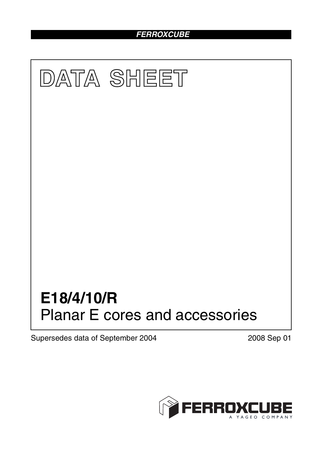# *FERROXCUBE*



Supersedes data of September 2004 2008 Sep 01

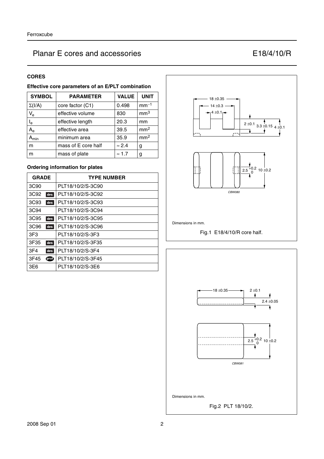## **CORES**

## **Effective core parameters of an E/PLT combination**

| <b>SYMBOL</b>             | <b>PARAMETER</b>    | <b>VALUE</b>  | <b>UNIT</b>     |
|---------------------------|---------------------|---------------|-----------------|
| $\Sigma(I/A)$             | core factor (C1)    | 0.498         | $mm-1$          |
| $\mathsf{V}_{\mathsf{e}}$ | effective volume    | 830           | mm <sup>3</sup> |
| $\mathsf{I}_\mathsf{e}$   | effective length    | 20.3          | mm              |
| $A_{\rm e}$               | effective area      | 39.5          | mm <sup>2</sup> |
| יmin                      | minimum area        | 35.9          | mm <sup>2</sup> |
| m                         | mass of E core half | $\approx 2.4$ | g               |
| m                         | mass of plate       | $\approx 1.7$ | g               |

## **Ordering information for plates**

| <b>GRADE</b>            | <b>TYPE NUMBER</b> |
|-------------------------|--------------------|
| 3C <sub>90</sub>        | PLT18/10/2/S-3C90  |
| 3C92<br>des             | PLT18/10/2/S-3C92  |
| 3C93<br>des             | PLT18/10/2/S-3C93  |
| 3C94                    | PLT18/10/2/S-3C94  |
| 3C95<br>des             | PLT18/10/2/S-3C95  |
| 3C <sub>96</sub><br>des | PLT18/10/2/S-3C96  |
| 3F <sub>3</sub>         | PLT18/10/2/S-3F3   |
| 3F35<br>des             | PLT18/10/2/S-3F35  |
| 3F <sub>4</sub><br>des  | PLT18/10/2/S-3F4   |
| ௵<br>3F45               | PLT18/10/2/S-3F45  |
| 3E6                     | PLT18/10/2/S-3E6   |





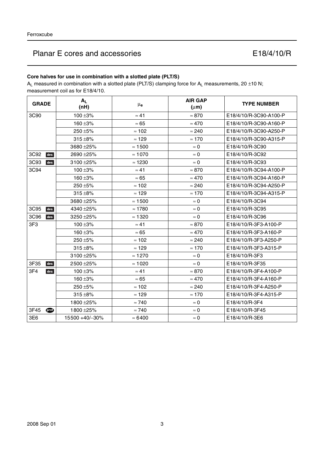## **Core halves for use in combination with a slotted plate (PLT/S)**

 $A_L$  measured in combination with a slotted plate (PLT/S) clamping force for  $A_L$  measurements, 20 ±10 N; measurement coil as for E18/4/10.

| <b>GRADE</b>           | $A_L$<br>(nH)  | $\mu_{\mathbf{e}}$ | <b>AIR GAP</b><br>$(\mu m)$ | <b>TYPE NUMBER</b>     |
|------------------------|----------------|--------------------|-----------------------------|------------------------|
| 3C90                   | $100 + 3%$     | $\approx 41$       | $\approx 870$               | E18/4/10/R-3C90-A100-P |
|                        | 160 ±3%        | $\approx 65$       | $\approx 470$               | E18/4/10/R-3C90-A160-P |
|                        | 250 ±5%        | $\approx 102$      | $\approx 240$               | E18/4/10/R-3C90-A250-P |
|                        | $315 + 8%$     | $\approx$ 129      | $\approx 170$               | E18/4/10/R-3C90-A315-P |
|                        | 3680 ± 25%     | $\approx 1500$     | $\approx 0$                 | E18/4/10/R-3C90        |
| 3C92<br>des            | 2690 ± 25%     | $\approx 1070$     | $\approx 0$                 | E18/4/10/R-3C92        |
| 3C93<br>des            | 3100 ± 25%     | $\approx$ 1230     | $\approx 0$                 | E18/4/10/R-3C93        |
| 3C94                   | $100 + 3%$     | $\approx 41$       | $\approx 870$               | E18/4/10/R-3C94-A100-P |
|                        | $160 + 3%$     | $\approx 65$       | $\approx 470$               | E18/4/10/R-3C94-A160-P |
|                        | 250 ±5%        | $\approx 102$      | $\approx 240$               | E18/4/10/R-3C94-A250-P |
|                        | $315 + 8%$     | $\approx$ 129      | $\approx 170$               | E18/4/10/R-3C94-A315-P |
|                        | 3680 ± 25%     | $\approx$ 1500     | $\approx$ 0                 | E18/4/10/R-3C94        |
| 3C95<br>des            | 4340 ± 25%     | $\approx 1780$     | $\approx 0$                 | E18/4/10/R-3C95        |
| 3C96<br>des            | 3250 ± 25%     | $\approx$ 1320     | $\approx 0$                 | E18/4/10/R-3C96        |
| 3F <sub>3</sub>        | $100 + 3%$     | $\approx 41$       | $\approx 870$               | E18/4/10/R-3F3-A100-P  |
|                        | $160 + 3%$     | $\approx 65$       | $\approx 470$               | E18/4/10/R-3F3-A160-P  |
|                        | 250 ±5%        | $\approx 102$      | $\approx 240$               | E18/4/10/R-3F3-A250-P  |
|                        | $315 + 8%$     | $\approx$ 129      | $\approx 170$               | E18/4/10/R-3F3-A315-P  |
|                        | 3100 ± 25%     | $\approx$ 1270     | $\approx 0$                 | E18/4/10/R-3F3         |
| 3F35<br>des            | 2500 ± 25%     | $\approx 1020$     | $\approx 0$                 | E18/4/10/R-3F35        |
| 3F4<br>des             | $100 + 3%$     | $\approx 41$       | $\approx 870$               | E18/4/10/R-3F4-A100-P  |
|                        | 160 ±3%        | $\approx 65$       | $\approx 470$               | E18/4/10/R-3F4-A160-P  |
|                        | 250 ±5%        | $\approx 102$      | $\approx 240$               | E18/4/10/R-3F4-A250-P  |
|                        | $315 + 8%$     | $\approx 129$      | $\approx 170$               | E18/4/10/R-3F4-A315-P  |
|                        | 1800 ± 25%     | $\approx 740$      | $\approx 0$                 | E18/4/10/R-3F4         |
| 3F45<br>$\circledcirc$ | 1800 ± 25%     | $\approx 740$      | $\approx 0$                 | E18/4/10/R-3F45        |
| 3E6                    | 15500 +40/-30% | $\approx 6400$     | $\approx 0$                 | E18/4/10/R-3E6         |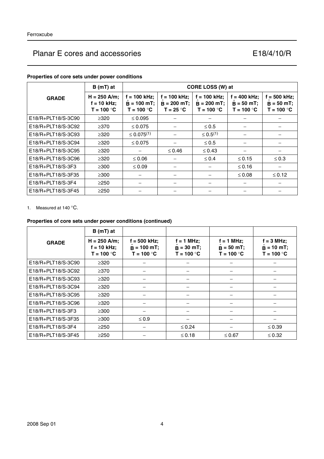| CORE LOSS (W) at<br>$B(mT)$ at |                                                 |                                                 |                                                |                                                          |                                            |                                                |
|--------------------------------|-------------------------------------------------|-------------------------------------------------|------------------------------------------------|----------------------------------------------------------|--------------------------------------------|------------------------------------------------|
| <b>GRADE</b>                   | $H = 250$ A/m;<br>$f = 10$ kHz;<br>$T = 100 °C$ | $f = 100$ kHz;<br>$B = 100$ mT;<br>$T = 100 °C$ | $f = 100$ kHz;<br>$B = 200$ mT;<br>$T = 25 °C$ | $f = 100$ kHz;<br>$B = 200 mT$ ;<br>T = 100 $^{\circ}$ C | = 400 kHz;<br>$B = 50$ mT;<br>$T = 100 °C$ | $f = 500$ kHz;<br>$B = 50 mT;$<br>$T = 100 °C$ |
| E18/R+PLT18/S-3C90             | $\geq 320$                                      | $\leq 0.095$                                    |                                                | $\qquad \qquad -$                                        |                                            |                                                |
| E18/R+PLT18/S-3C92             | $\geq$ 370                                      | $\leq 0.075$                                    |                                                | $\leq 0.5$                                               |                                            |                                                |
| E18/R+PLT18/S-3C93             | $\geq 320$                                      | $\leq 0.075^{(1)}$                              |                                                | $\leq 0.5^{(1)}$                                         |                                            |                                                |
| E18/R+PLT18/S-3C94             | $\geq$ 320                                      | $\leq 0.075$                                    |                                                | $\leq 0.5$                                               |                                            |                                                |
| E18/R+PLT18/S-3C95             | $\geq 320$                                      |                                                 | $\leq 0.46$                                    | $\leq 0.43$                                              |                                            |                                                |
| E18/R+PLT18/S-3C96             | $\geq 320$                                      | $\leq 0.06$                                     |                                                | $\leq 0.4$                                               | $\leq 0.15$                                | $\leq 0.3$                                     |
| E18/R+PLT18/S-3F3              | $\geq$ 300                                      | $\leq 0.09$                                     |                                                |                                                          | $≤ 0.16$                                   |                                                |
| E18/R+PLT18/S-3F35             | $\geq$ 300                                      |                                                 |                                                |                                                          | $\leq 0.08$                                | $≤ 0.12$                                       |
| $E18/R + PLT18/S-3F4$          | $\geq$ 250                                      |                                                 |                                                |                                                          |                                            |                                                |
| E18/R+PLT18/S-3F45             | $\geq$ 250                                      |                                                 |                                                |                                                          |                                            |                                                |

### **Properties of core sets under power conditions**

1. Measured at 140 °C.

## **Properties of core sets under power conditions (continued)**

|                    | $B(mT)$ at                                      |                                                 |                                              |                                               |                                                     |
|--------------------|-------------------------------------------------|-------------------------------------------------|----------------------------------------------|-----------------------------------------------|-----------------------------------------------------|
| <b>GRADE</b>       | $H = 250$ A/m;<br>$f = 10$ kHz;<br>$T = 100 °C$ | $f = 500$ kHz;<br>$B = 100$ mT;<br>$T = 100 °C$ | $f = 1$ MHz;<br>$B = 30$ mT;<br>$T = 100 °C$ | $f = 1$ MHz;<br>$B = 50 mT$ ;<br>$T = 100 °C$ | $f = 3 MHz$ ;<br>$\hat{B} = 10$ mT;<br>$T = 100 °C$ |
| E18/R+PLT18/S-3C90 | $\geq$ 320                                      |                                                 |                                              |                                               |                                                     |
| E18/R+PLT18/S-3C92 | $\geq$ 370                                      |                                                 |                                              |                                               |                                                     |
| E18/R+PLT18/S-3C93 | $\geq 320$                                      |                                                 |                                              |                                               |                                                     |
| E18/R+PLT18/S-3C94 | $\geq 320$                                      |                                                 |                                              |                                               |                                                     |
| E18/R+PLT18/S-3C95 | $\geq 320$                                      |                                                 |                                              |                                               |                                                     |
| E18/R+PLT18/S-3C96 | $\geq 320$                                      |                                                 |                                              |                                               |                                                     |
| E18/R+PLT18/S-3F3  | $\geq$ 300                                      |                                                 |                                              |                                               |                                                     |
| E18/R+PLT18/S-3F35 | $\geq 300$                                      | $\leq 0.9$                                      |                                              |                                               |                                                     |
| E18/R+PLT18/S-3F4  | $\geq$ 250                                      |                                                 | $\leq 0.24$                                  |                                               | $\leq 0.39$                                         |
| E18/R+PLT18/S-3F45 | $\geq$ 250                                      |                                                 | $\leq 0.18$                                  | ≤ 0.67                                        | $\leq 0.32$                                         |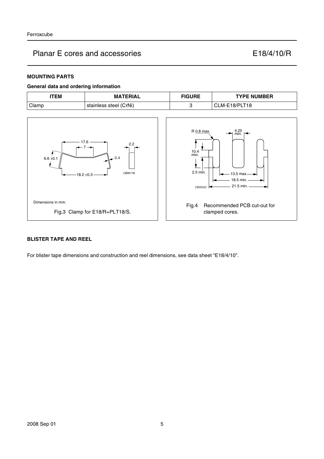### **MOUNTING PARTS**

### **General data and ordering information**



#### **BLISTER TAPE AND REEL**

For blister tape dimensions and construction and reel dimensions, see data sheet "E18/4/10".